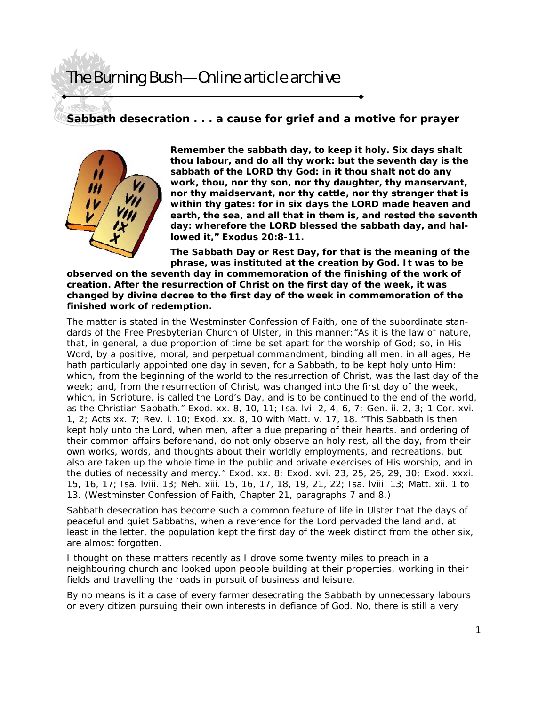#### **Sabbath desecration . . . a cause for grief and a motive for prayer**



**Remember the sabbath day, to keep it holy. Six days shalt thou labour, and do all thy work: but the seventh day is the sabbath of the LORD thy God: in it thou shalt not do any work, thou, nor thy son, nor thy daughter, thy manservant, nor thy maidservant, nor thy cattle, nor thy stranger that is within thy gates: for in six days the LORD made heaven and earth, the sea, and all that in them is, and rested the seventh day: wherefore the LORD blessed the sabbath day, and hallowed it," Exodus 20:8-11.** 

**The Sabbath Day or Rest Day, for that is the meaning of the phrase, was instituted at the creation by God. It was to be** 

**observed on the seventh day in commemoration of the finishing of the work of creation. After the resurrection of Christ on the first day of the week, it was changed by divine decree to the first day of the week in commemoration of the finished work of redemption.** 

The matter is stated in the Westminster Confession of Faith, one of the subordinate standards of the Free Presbyterian Church of Ulster, in this manner:"As it is the law of nature, that, in general, a due proportion of time be set apart for the worship of God; so, in His Word, by a positive, moral, and perpetual commandment, binding all men, in all ages, He hath particularly appointed one day in seven, for a Sabbath, to be kept holy unto Him: which, from the beginning of the world to the resurrection of Christ, was the last day of the week; and, from the resurrection of Christ, was changed into the first day of the week, which, in Scripture, is called the Lord's Day, and is to be continued to the end of the world, as the Christian Sabbath." Exod. xx. 8, 10, 11; Isa. lvi. 2, 4, 6, 7; Gen. ii. 2, 3; 1 Cor. xvi. 1, 2; Acts xx. 7; Rev. i. 10; Exod. xx. 8, 10 with Matt. v. 17, 18. "This Sabbath is then kept holy unto the Lord, when men, after a due preparing of their hearts. and ordering of their common affairs beforehand, do not only observe an holy rest, all the day, from their own works, words, and thoughts about their worldly employments, and recreations, but also are taken up the whole time in the public and private exercises of His worship, and in the duties of necessity and mercy." Exod. xx. 8; Exod. xvi. 23, 25, 26, 29, 30; Exod. xxxi. 15, 16, 17; Isa. lviii. 13; Neh. xiii. 15, 16, 17, 18, 19, 21, 22; Isa. lviii. 13; Matt. xii. 1 to 13. (Westminster Confession of Faith, Chapter 21, paragraphs 7 and 8.)

Sabbath desecration has become such a common feature of life in Ulster that the days of peaceful and quiet Sabbaths, when a reverence for the Lord pervaded the land and, at least in the letter, the population kept the first day of the week distinct from the other six, are almost forgotten.

I thought on these matters recently as I drove some twenty miles to preach in a neighbouring church and looked upon people building at their properties, working in their fields and travelling the roads in pursuit of business and leisure.

By no means is it a case of every farmer desecrating the Sabbath by unnecessary labours or every citizen pursuing their own interests in defiance of God. No, there is still a very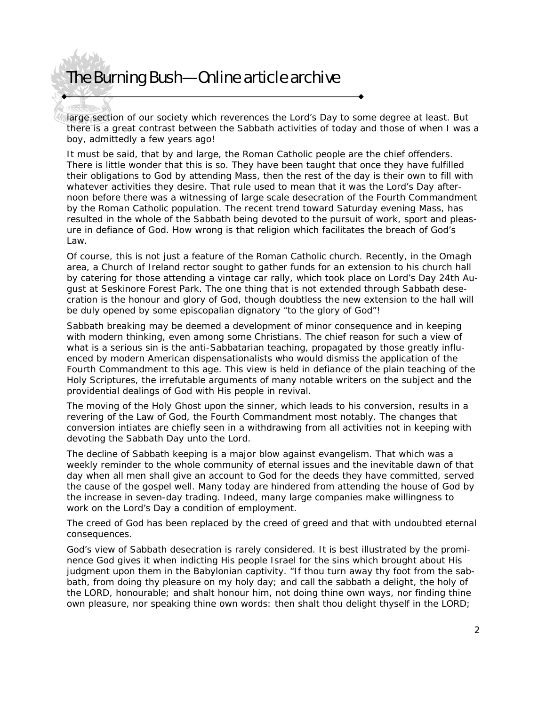large section of our society which reverences the Lord's Day to some degree at least. But there is a great contrast between the Sabbath activities of today and those of when I was a boy, admittedly a few years ago!

It must be said, that by and large, the Roman Catholic people are the chief offenders. There is little wonder that this is so. They have been taught that once they have fulfilled their obligations to God by attending Mass, then the rest of the day is their own to fill with whatever activities they desire. That rule used to mean that it was the Lord's Day afternoon before there was a witnessing of large scale desecration of the Fourth Commandment by the Roman Catholic population. The recent trend toward Saturday evening Mass, has resulted in the whole of the Sabbath being devoted to the pursuit of work, sport and pleasure in defiance of God. How wrong is that religion which facilitates the breach of God's Law.

Of course, this is not just a feature of the Roman Catholic church. Recently, in the Omagh area, a Church of Ireland rector sought to gather funds for an extension to his church hall by catering for those attending a vintage car rally, which took place on Lord's Day 24th August at Seskinore Forest Park. The one thing that is not extended through Sabbath desecration is the honour and glory of God, though doubtless the new extension to the hall will be duly opened by some episcopalian dignatory "to the glory of God"!

Sabbath breaking may be deemed a development of minor consequence and in keeping with modern thinking, even among some Christians. The chief reason for such a view of what is a serious sin is the anti-Sabbatarian teaching, propagated by those greatly influenced by modern American dispensationalists who would dismiss the application of the Fourth Commandment to this age. This view is held in defiance of the plain teaching of the Holy Scriptures, the irrefutable arguments of many notable writers on the subject and the providential dealings of God with His people in revival.

The moving of the Holy Ghost upon the sinner, which leads to his conversion, results in a revering of the Law of God, the Fourth Commandment most notably. The changes that conversion intiates are chiefly seen in a withdrawing from all activities not in keeping with devoting the Sabbath Day unto the Lord.

The decline of Sabbath keeping is a major blow against evangelism. That which was a weekly reminder to the whole community of eternal issues and the inevitable dawn of that day when all men shall give an account to God for the deeds they have committed, served the cause of the gospel well. Many today are hindered from attending the house of God by the increase in seven-day trading. Indeed, many large companies make willingness to work on the Lord's Day a condition of employment.

The creed of God has been replaced by the creed of greed and that with undoubted eternal consequences.

God's view of Sabbath desecration is rarely considered. It is best illustrated by the prominence God gives it when indicting His people Israel for the sins which brought about His judgment upon them in the Babylonian captivity. "If thou turn away thy foot from the sabbath, from doing thy pleasure on my holy day; and call the sabbath a delight, the holy of the LORD, honourable; and shalt honour him, not doing thine own ways, nor finding thine own pleasure, nor speaking thine own words: then shalt thou delight thyself in the LORD;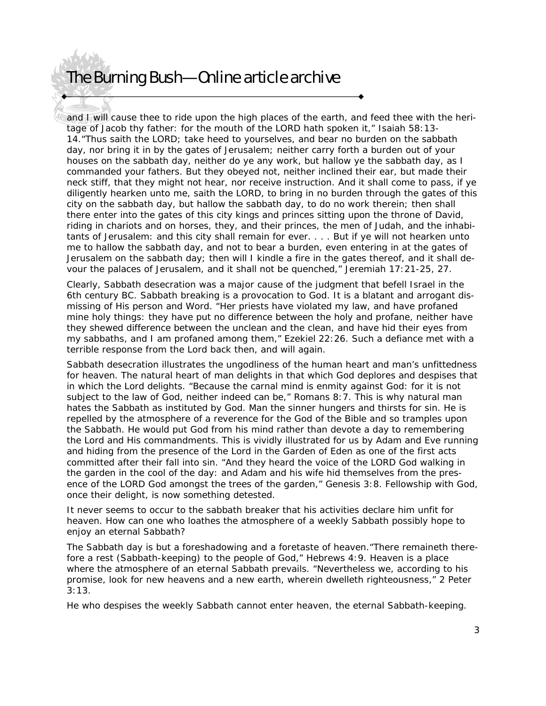and I will cause thee to ride upon the high places of the earth, and feed thee with the heritage of Jacob thy father: for the mouth of the LORD hath spoken it," Isaiah 58:13- 14."Thus saith the LORD; take heed to yourselves, and bear no burden on the sabbath day, nor bring it in by the gates of Jerusalem; neither carry forth a burden out of your houses on the sabbath day, neither do ye any work, but hallow ye the sabbath day, as I commanded your fathers. But they obeyed not, neither inclined their ear, but made their neck stiff, that they might not hear, nor receive instruction. And it shall come to pass, if ye diligently hearken unto me, saith the LORD, to bring in no burden through the gates of this city on the sabbath day, but hallow the sabbath day, to do no work therein; then shall there enter into the gates of this city kings and princes sitting upon the throne of David, riding in chariots and on horses, they, and their princes, the men of Judah, and the inhabitants of Jerusalem: and this city shall remain for ever. . . . But if ye will not hearken unto me to hallow the sabbath day, and not to bear a burden, even entering in at the gates of Jerusalem on the sabbath day; then will I kindle a fire in the gates thereof, and it shall devour the palaces of Jerusalem, and it shall not be quenched," Jeremiah 17:21-25, 27.

Clearly, Sabbath desecration was a major cause of the judgment that befell Israel in the 6th century BC. Sabbath breaking is a provocation to God. It is a blatant and arrogant dismissing of His person and Word. "Her priests have violated my law, and have profaned mine holy things: they have put no difference between the holy and profane, neither have they shewed difference between the unclean and the clean, and have hid their eyes from my sabbaths, and I am profaned among them," Ezekiel 22:26. Such a defiance met with a terrible response from the Lord back then, and will again.

Sabbath desecration illustrates the ungodliness of the human heart and man's unfittedness for heaven. The natural heart of man delights in that which God deplores and despises that in which the Lord delights. "Because the carnal mind is enmity against God: for it is not subject to the law of God, neither indeed can be," Romans 8:7. This is why natural man hates the Sabbath as instituted by God. Man the sinner hungers and thirsts for sin. He is repelled by the atmosphere of a reverence for the God of the Bible and so tramples upon the Sabbath. He would put God from his mind rather than devote a day to remembering the Lord and His commandments. This is vividly illustrated for us by Adam and Eve running and hiding from the presence of the Lord in the Garden of Eden as one of the first acts committed after their fall into sin. "And they heard the voice of the LORD God walking in the garden in the cool of the day: and Adam and his wife hid themselves from the presence of the LORD God amongst the trees of the garden," Genesis 3:8. Fellowship with God, once their delight, is now something detested.

It never seems to occur to the sabbath breaker that his activities declare him unfit for heaven. How can one who loathes the atmosphere of a weekly Sabbath possibly hope to enjoy an eternal Sabbath?

The Sabbath day is but a foreshadowing and a foretaste of heaven."There remaineth therefore a rest (Sabbath-keeping) to the people of God," Hebrews 4:9. Heaven is a place where the atmosphere of an eternal Sabbath prevails. "Nevertheless we, according to his promise, look for new heavens and a new earth, wherein dwelleth righteousness," 2 Peter 3:13.

He who despises the weekly Sabbath cannot enter heaven, the eternal Sabbath-keeping.